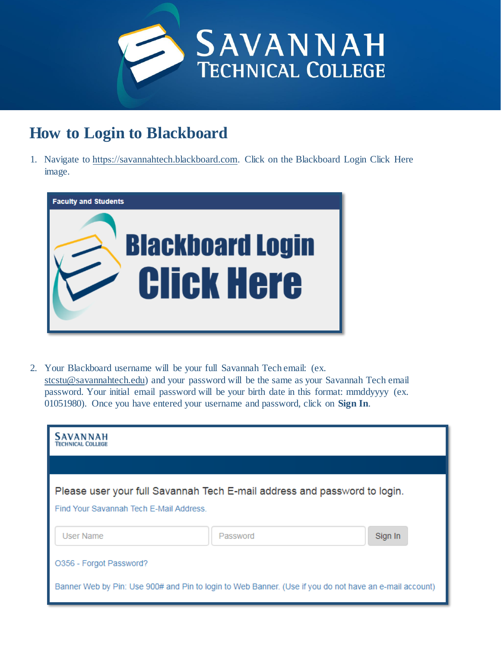

# **How to Login to Blackboard**

1. Navigate to https://[savannahtech.blackboard.com.](https://savannahtech.blackboard.com) Click on the Blackboard Login Click Here image.



2. Your Blackboard username will be your full Savannah Tech email: (ex. [stcstu@savannahtech.edu\)](mailto:stcstu@savannahtech.edu) and your password will be the same as your Savannah Tech email password. Your initial email password will be your birth date in this format: mmddyyyy (ex. 01051980). Once you have entered your username and password, click on **Sign In**.

| <b>SAVANNAH</b><br><b>TECHNICAL COLLEGE</b>                                                                                       |          |         |
|-----------------------------------------------------------------------------------------------------------------------------------|----------|---------|
|                                                                                                                                   |          |         |
| Please user your full Savannah Tech E-mail address and password to login.<br>Find Your Savannah Tech E-Mail Address.              |          |         |
| User Name                                                                                                                         | Password | Sign In |
| O356 - Forgot Password?<br>Banner Web by Pin: Use 900# and Pin to login to Web Banner. (Use if you do not have an e-mail account) |          |         |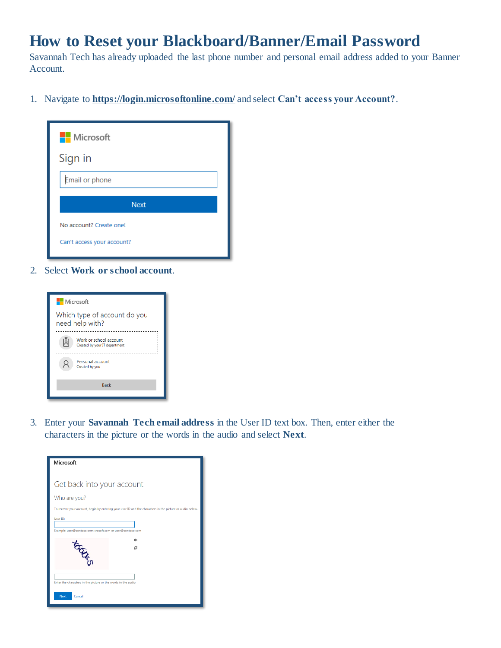## **How to Reset your Blackboard/Banner/Email Password**

Savannah Tech has already uploaded the last phone number and personal email address added to your Banner Account.

1. Navigate to **<https://login.microsoftonline.com/>** and select **Can't access your Account?**.

| <b>Nicrosoft</b>           |  |  |
|----------------------------|--|--|
| Sign in                    |  |  |
| Email or phone             |  |  |
| <b>Next</b>                |  |  |
| No account? Create one!    |  |  |
| Can't access your account? |  |  |

2. Select **Work or school account**.



3. Enter your **Savannah Tech email address** in the User ID text box. Then, enter either the characters in the picture or the words in the audio and select **Next**.

| Get back into your account<br>Who are you?<br>To recover your account, begin by entering your user ID and the characters in the picture or audio below.<br>User ID:<br>Example: user@contoso.onmicrosoft.com or user@contoso.com<br>睡<br>c | Microsoft   |  |  |  |
|--------------------------------------------------------------------------------------------------------------------------------------------------------------------------------------------------------------------------------------------|-------------|--|--|--|
|                                                                                                                                                                                                                                            |             |  |  |  |
|                                                                                                                                                                                                                                            |             |  |  |  |
|                                                                                                                                                                                                                                            |             |  |  |  |
|                                                                                                                                                                                                                                            |             |  |  |  |
|                                                                                                                                                                                                                                            | <b>OCHA</b> |  |  |  |
| Enter the characters in the picture or the words in the audio.<br>Next<br>Cancel                                                                                                                                                           |             |  |  |  |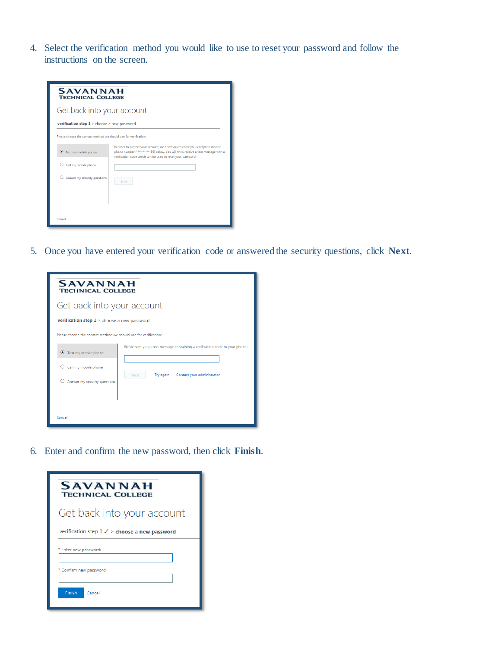4. Select the verification method you would like to use to reset your password and follow the instructions on the screen.

| <b>SAVANNAH</b><br><b>TECHNICAL COLLEGE</b>        |                                                                                                                                                                                                                                |  |  |
|----------------------------------------------------|--------------------------------------------------------------------------------------------------------------------------------------------------------------------------------------------------------------------------------|--|--|
| Get back into your account                         |                                                                                                                                                                                                                                |  |  |
| <b>verification step 1</b> > choose a new password |                                                                                                                                                                                                                                |  |  |
|                                                    | Please choose the contact method we should use for verification:                                                                                                                                                               |  |  |
| Text my mobile phone                               | In order to protect your account, we need you to enter your complete mobile<br>phone number (************86) below. You will then receive a text message with a<br>verification code which can be used to reset your password. |  |  |
| Call my mobile phone                               |                                                                                                                                                                                                                                |  |  |
| Answer my security questions                       | Text                                                                                                                                                                                                                           |  |  |
|                                                    |                                                                                                                                                                                                                                |  |  |
| Cancel                                             |                                                                                                                                                                                                                                |  |  |

5. Once you have entered your verification code or answered the security questions, click **Next**.

| <b>SAVANNAH</b><br><b>TECHNICAL COLLEGE</b>                      |                                                                             |  |  |
|------------------------------------------------------------------|-----------------------------------------------------------------------------|--|--|
| Get back into your account                                       |                                                                             |  |  |
|                                                                  | <b>verification step 1</b> > choose a new password                          |  |  |
| Please choose the contact method we should use for verification: |                                                                             |  |  |
| Text my mobile phone                                             | We've sent you a text message containing a verification code to your phone. |  |  |
| Call my mobile phone                                             |                                                                             |  |  |
| Answer my security questions                                     | Contact your administrator<br>Try again<br>Next                             |  |  |
|                                                                  |                                                                             |  |  |
| Cancel                                                           |                                                                             |  |  |

6. Enter and confirm the new password, then click **Finish**.

| <b>SAVANNAH</b><br><b>TECHNICAL COLLEGE</b>              |  |  |
|----------------------------------------------------------|--|--|
| Get back into your account                               |  |  |
| verification step $1 \checkmark$ > choose a new password |  |  |
| * Enter new password:                                    |  |  |
| * Confirm new password:                                  |  |  |
| Finish<br>Cancel                                         |  |  |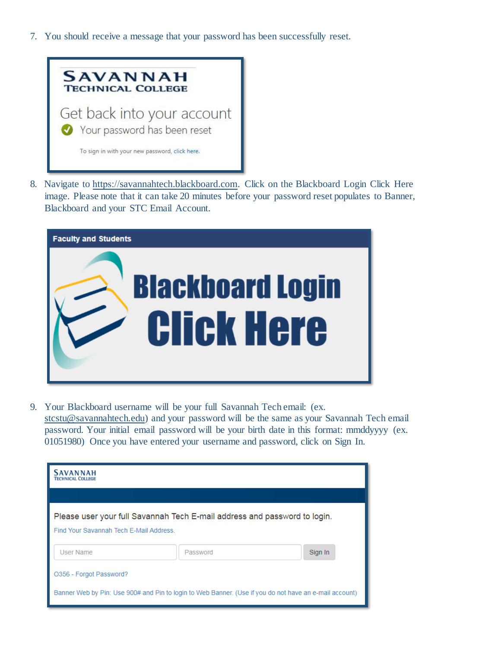7. You should receive a message that your password has been successfully reset.



8. Navigate to https://[savannahtech.blackboard.com.](https://savannahtech.blackboard.com) Click on the Blackboard Login Click Here image. Please note that it can take 20 minutes before your password reset populates to Banner, Blackboard and your STC Email Account.



9. Your Blackboard username will be your full Savannah Tech email: (ex. [stcstu@savannahtech.edu\)](mailto:stcstu@savannahtech.edu) and your password will be the same as your Savannah Tech email password. Your initial email password will be your birth date in this format: mmddyyyy (ex. 01051980) Once you have entered your username and password, click on Sign In.

| <b>SAVANNAH</b><br><b>TECHNICAL COLLEGE</b>                                                                         |          |         |
|---------------------------------------------------------------------------------------------------------------------|----------|---------|
|                                                                                                                     |          |         |
| Please user your full Savannah Tech E-mail address and password to login.<br>Find Your Savannah Tech F-Mail Address |          |         |
| User Name                                                                                                           | Password | Sign In |
| O356 - Forgot Password?                                                                                             |          |         |
| Banner Web by Pin: Use 900# and Pin to login to Web Banner. (Use if you do not have an e-mail account)              |          |         |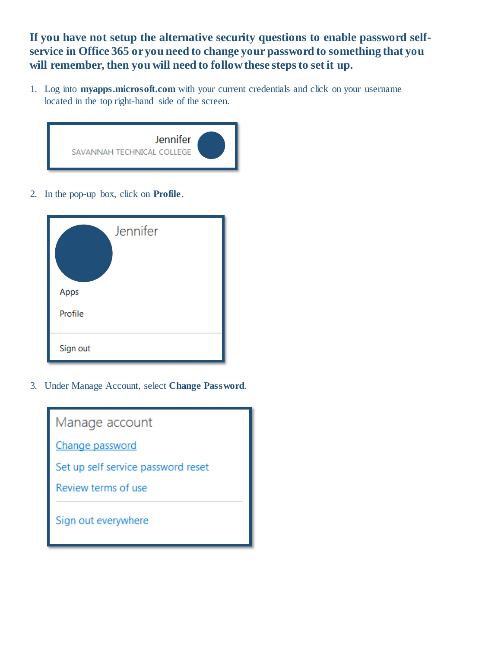**If you have not setup the alternative security questions to enable password selfservice in Office 365 oryou need to change your password to something that you will remember, then you will need to follow these steps to set it up.**

1. Log into **[myapps.microsoft.com](http://myapps.microsoft.com/)** with your current credentials and click on your username located in the top right-hand side of the screen.



2. In the pop-up box, click on **Profile**.

| Jennifer |
|----------|
| Apps     |
| Profile  |
| Sign out |

3. Under Manage Account, select **Change Password**.

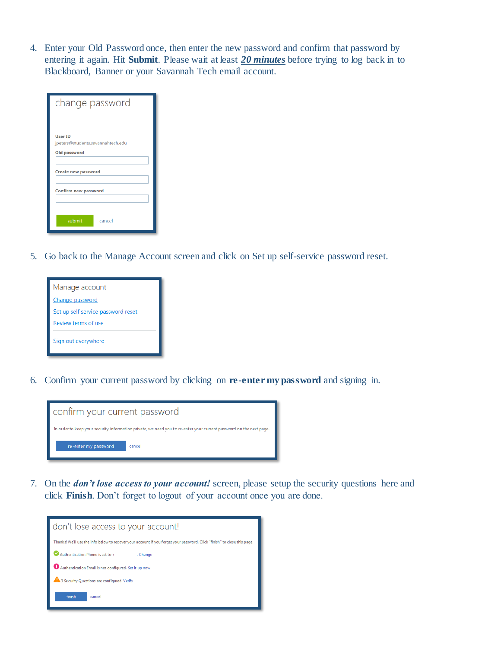4. Enter your Old Password once, then enter the new password and confirm that password by entering it again. Hit **Submit**. Please wait at least *20 minutes* before trying to log back in to Blackboard, Banner or your Savannah Tech email account.

| change password                                              |  |
|--------------------------------------------------------------|--|
| User ID<br>jpeters@students.savannahtech.edu<br>Old password |  |
| Create new password<br>Confirm new password                  |  |
| submit<br>cancel                                             |  |

5. Go back to the Manage Account screen and click on Set up self-service password reset.



6. Confirm your current password by clicking on **re-enter my password** and signing in.



7. On the *don't lose access to your account!* screen, please setup the security questions here and click **Finish**. Don't forget to logout of your account once you are done.

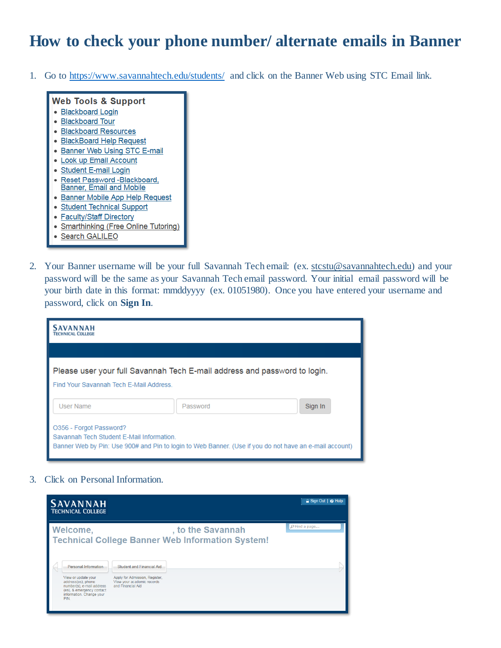## **How to check your phone number/ alternate emails in Banner**

1. Go to<https://www.savannahtech.edu/students/> and click on the Banner Web using STC Email link.

#### **Web Tools & Support** · Blackboard Login • Blackboard Tour · Blackboard Resources • BlackBoard Help Request • Banner Web Using STC E-mail • Look up Email Account • Student E-mail Login Reset Password -Blackboard,  $\bullet$ **Banner, Email and Mobile** • Banner Mobile App Help Request · Student Technical Support • Faculty/Staff Directory • Smarthinking (Free Online Tutoring)

- Search GALILEO
- 
- 2. Your Banner username will be your full Savannah Tech email: (ex. [stcstu@savannahtech.edu\)](mailto:stcstu@savannahtech.edu) and your password will be the same as your Savannah Tech email password. Your initial email password will be your birth date in this format: mmddyyyy (ex. 01051980). Once you have entered your username and password, click on **Sign In**.

| <b>SAVANNAH</b><br><b>TECHNICAL COLLEGE</b>                                                                                                                                    |                                                                           |         |
|--------------------------------------------------------------------------------------------------------------------------------------------------------------------------------|---------------------------------------------------------------------------|---------|
|                                                                                                                                                                                |                                                                           |         |
| Find Your Savannah Tech E-Mail Address.                                                                                                                                        | Please user your full Savannah Tech E-mail address and password to login. |         |
| User Name                                                                                                                                                                      | Password                                                                  | Sign In |
| O356 - Forgot Password?<br>Savannah Tech Student E-Mail Information.<br>Banner Web by Pin: Use 900# and Pin to login to Web Banner. (Use if you do not have an e-mail account) |                                                                           |         |

3. Click on Personal Information.

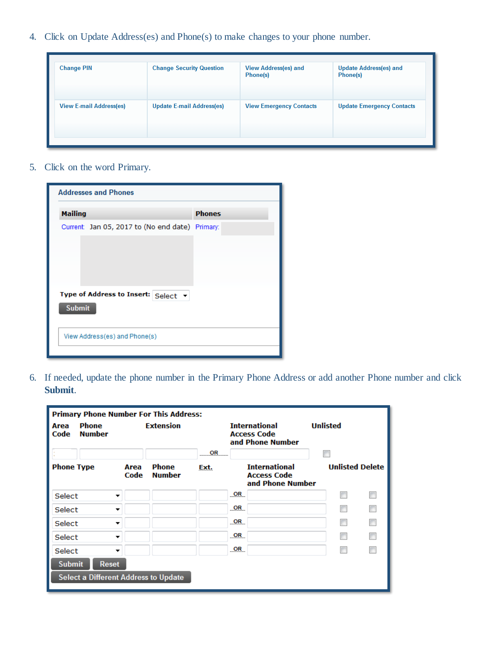4. Click on Update Address(es) and Phone(s) to make changes to your phone number.

| <b>Change PIN</b>              | <b>Change Security Question</b>  | <b>View Address(es) and</b><br>Phone(s) | <b>Update Address(es) and</b><br>Phone(s) |
|--------------------------------|----------------------------------|-----------------------------------------|-------------------------------------------|
| <b>View E-mail Address(es)</b> | <b>Update E-mail Address(es)</b> | <b>View Emergency Contacts</b>          | <b>Update Emergency Contacts</b>          |

5. Click on the word Primary.

| <b>Addresses and Phones</b>                          |               |  |
|------------------------------------------------------|---------------|--|
| <b>Mailing</b>                                       | <b>Phones</b> |  |
| Current: Jan 05, 2017 to (No end date) Primary:      |               |  |
| Type of Address to Insert: Select v<br><b>Submit</b> |               |  |
| View Address(es) and Phone(s)                        |               |  |

6. If needed, update the phone number in the Primary Phone Address or add another Phone number and click **Submit**.

| <b>Primary Phone Number For This Address:</b> |                                                      |              |                               |      |                                                                |                                                                |  |                        |        |  |
|-----------------------------------------------|------------------------------------------------------|--------------|-------------------------------|------|----------------------------------------------------------------|----------------------------------------------------------------|--|------------------------|--------|--|
| Area<br>Code                                  | <b>Phone</b><br><b>Number</b>                        |              | <b>Extension</b>              |      | <b>International</b><br><b>Access Code</b><br>and Phone Number |                                                                |  | <b>Unlisted</b>        |        |  |
|                                               |                                                      |              |                               | OR   |                                                                |                                                                |  |                        |        |  |
| <b>Phone Type</b>                             |                                                      | Area<br>Code | <b>Phone</b><br><b>Number</b> | Ext. |                                                                | <b>International</b><br><b>Access Code</b><br>and Phone Number |  | <b>Unlisted Delete</b> |        |  |
| Select                                        | ▼                                                    |              |                               |      | <u>_OR</u>                                                     |                                                                |  |                        | $\Box$ |  |
| Select                                        |                                                      |              |                               |      | $_{OR}$                                                        |                                                                |  |                        |        |  |
| Select                                        |                                                      |              |                               |      | $_{\circ}$ OR                                                  |                                                                |  |                        | П      |  |
| Select                                        |                                                      |              |                               |      | $_{\circ}$ OR                                                  |                                                                |  |                        |        |  |
| Select                                        |                                                      |              |                               |      | <u>_OR_</u>                                                    |                                                                |  |                        | П      |  |
| <b>Submit</b>                                 | <b>Reset</b><br>Select a Different Address to Update |              |                               |      |                                                                |                                                                |  |                        |        |  |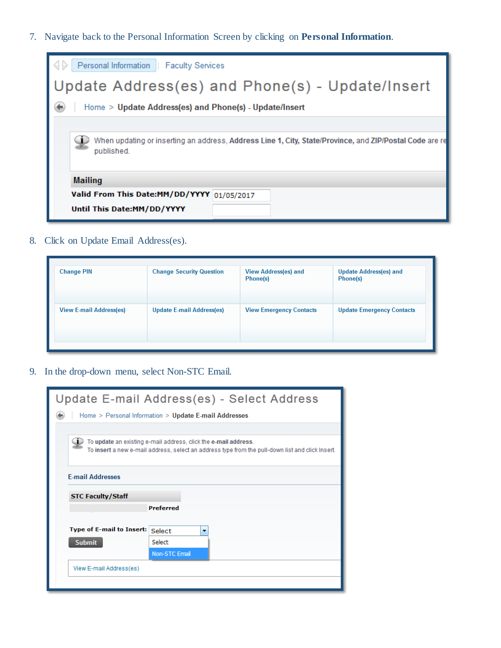7. Navigate back to the Personal Information Screen by clicking on **Personal Information**.



8. Click on Update Email Address(es).

| <b>Change PIN</b>              | <b>Change Security Question</b>  | <b>View Address(es) and</b><br>Phone(s) | <b>Update Address(es) and</b><br>Phone(s) |
|--------------------------------|----------------------------------|-----------------------------------------|-------------------------------------------|
| <b>View E-mail Address(es)</b> | <b>Update E-mail Address(es)</b> | <b>View Emergency Contacts</b>          | <b>Update Emergency Contacts</b>          |

9. In the drop-down menu, select Non-STC Email.

|                                                                                                                                                                     | Update E-mail Address(es) - Select Address            |  |  |  |  |
|---------------------------------------------------------------------------------------------------------------------------------------------------------------------|-------------------------------------------------------|--|--|--|--|
|                                                                                                                                                                     | Home > Personal Information > Update E-mail Addresses |  |  |  |  |
|                                                                                                                                                                     |                                                       |  |  |  |  |
| To update an existing e-mail address, click the e-mail address.<br>To insert a new e-mail address, select an address type from the pull-down list and click Insert. |                                                       |  |  |  |  |
| <b>E-mail Addresses</b>                                                                                                                                             |                                                       |  |  |  |  |
| <b>STC Faculty/Staff</b>                                                                                                                                            |                                                       |  |  |  |  |
|                                                                                                                                                                     | <b>Preferred</b>                                      |  |  |  |  |
| <b>Type of E-mail to Insert:</b>                                                                                                                                    | Select<br>$\overline{\phantom{a}}$                    |  |  |  |  |
| <b>Submit</b>                                                                                                                                                       | Select                                                |  |  |  |  |
|                                                                                                                                                                     | <b>Non-STC Email</b>                                  |  |  |  |  |
| View E-mail Address(es)                                                                                                                                             |                                                       |  |  |  |  |
|                                                                                                                                                                     |                                                       |  |  |  |  |